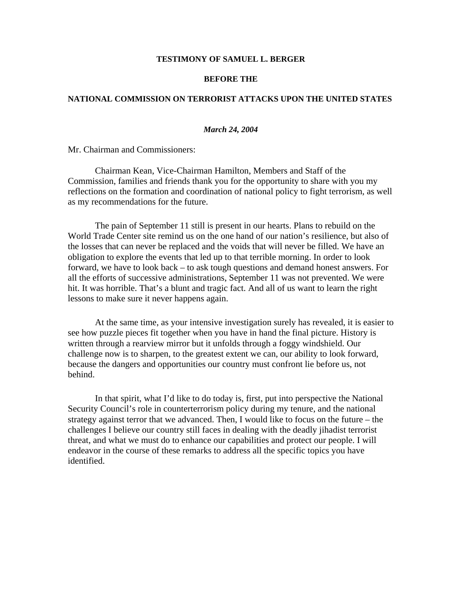## **TESTIMONY OF SAMUEL L. BERGER**

## **BEFORE THE**

# **NATIONAL COMMISSION ON TERRORIST ATTACKS UPON THE UNITED STATES**

#### *March 24, 2004*

Mr. Chairman and Commissioners:

Chairman Kean, Vice-Chairman Hamilton, Members and Staff of the Commission, families and friends thank you for the opportunity to share with you my reflections on the formation and coordination of national policy to fight terrorism, as well as my recommendations for the future.

The pain of September 11 still is present in our hearts. Plans to rebuild on the World Trade Center site remind us on the one hand of our nation's resilience, but also of the losses that can never be replaced and the voids that will never be filled. We have an obligation to explore the events that led up to that terrible morning. In order to look forward, we have to look back – to ask tough questions and demand honest answers. For all the efforts of successive administrations, September 11 was not prevented. We were hit. It was horrible. That's a blunt and tragic fact. And all of us want to learn the right lessons to make sure it never happens again.

At the same time, as your intensive investigation surely has revealed, it is easier to see how puzzle pieces fit together when you have in hand the final picture. History is written through a rearview mirror but it unfolds through a foggy windshield. Our challenge now is to sharpen, to the greatest extent we can, our ability to look forward, because the dangers and opportunities our country must confront lie before us, not behind.

In that spirit, what I'd like to do today is, first, put into perspective the National Security Council's role in counterterrorism policy during my tenure, and the national strategy against terror that we advanced. Then, I would like to focus on the future – the challenges I believe our country still faces in dealing with the deadly jihadist terrorist threat, and what we must do to enhance our capabilities and protect our people. I will endeavor in the course of these remarks to address all the specific topics you have identified.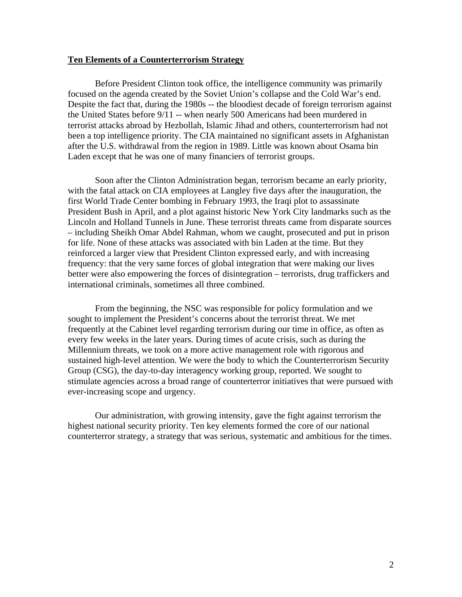# **Ten Elements of a Counterterrorism Strategy**

Before President Clinton took office, the intelligence community was primarily focused on the agenda created by the Soviet Union's collapse and the Cold War's end. Despite the fact that, during the 1980s -- the bloodiest decade of foreign terrorism against the United States before 9/11 -- when nearly 500 Americans had been murdered in terrorist attacks abroad by Hezbollah, Islamic Jihad and others, counterterrorism had not been a top intelligence priority. The CIA maintained no significant assets in Afghanistan after the U.S. withdrawal from the region in 1989. Little was known about Osama bin Laden except that he was one of many financiers of terrorist groups.

Soon after the Clinton Administration began, terrorism became an early priority, with the fatal attack on CIA employees at Langley five days after the inauguration, the first World Trade Center bombing in February 1993, the Iraqi plot to assassinate President Bush in April, and a plot against historic New York City landmarks such as the Lincoln and Holland Tunnels in June. These terrorist threats came from disparate sources – including Sheikh Omar Abdel Rahman, whom we caught, prosecuted and put in prison for life. None of these attacks was associated with bin Laden at the time. But they reinforced a larger view that President Clinton expressed early, and with increasing frequency: that the very same forces of global integration that were making our lives better were also empowering the forces of disintegration – terrorists, drug traffickers and international criminals, sometimes all three combined.

From the beginning, the NSC was responsible for policy formulation and we sought to implement the President's concerns about the terrorist threat. We met frequently at the Cabinet level regarding terrorism during our time in office, as often as every few weeks in the later years. During times of acute crisis, such as during the Millennium threats, we took on a more active management role with rigorous and sustained high-level attention. We were the body to which the Counterterrorism Security Group (CSG), the day-to-day interagency working group, reported. We sought to stimulate agencies across a broad range of counterterror initiatives that were pursued with ever-increasing scope and urgency.

Our administration, with growing intensity, gave the fight against terrorism the highest national security priority. Ten key elements formed the core of our national counterterror strategy, a strategy that was serious, systematic and ambitious for the times.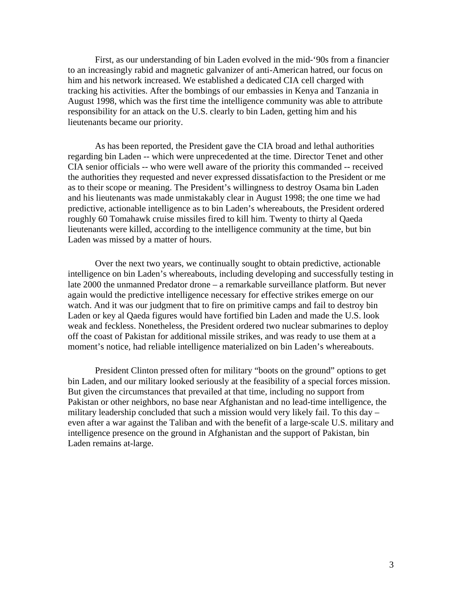First, as our understanding of bin Laden evolved in the mid-'90s from a financier to an increasingly rabid and magnetic galvanizer of anti-American hatred, our focus on him and his network increased. We established a dedicated CIA cell charged with tracking his activities. After the bombings of our embassies in Kenya and Tanzania in August 1998, which was the first time the intelligence community was able to attribute responsibility for an attack on the U.S. clearly to bin Laden, getting him and his lieutenants became our priority.

As has been reported, the President gave the CIA broad and lethal authorities regarding bin Laden -- which were unprecedented at the time. Director Tenet and other CIA senior officials -- who were well aware of the priority this commanded -- received the authorities they requested and never expressed dissatisfaction to the President or me as to their scope or meaning. The President's willingness to destroy Osama bin Laden and his lieutenants was made unmistakably clear in August 1998; the one time we had predictive, actionable intelligence as to bin Laden's whereabouts, the President ordered roughly 60 Tomahawk cruise missiles fired to kill him. Twenty to thirty al Qaeda lieutenants were killed, according to the intelligence community at the time, but bin Laden was missed by a matter of hours.

Over the next two years, we continually sought to obtain predictive, actionable intelligence on bin Laden's whereabouts, including developing and successfully testing in late 2000 the unmanned Predator drone – a remarkable surveillance platform. But never again would the predictive intelligence necessary for effective strikes emerge on our watch. And it was our judgment that to fire on primitive camps and fail to destroy bin Laden or key al Qaeda figures would have fortified bin Laden and made the U.S. look weak and feckless. Nonetheless, the President ordered two nuclear submarines to deploy off the coast of Pakistan for additional missile strikes, and was ready to use them at a moment's notice, had reliable intelligence materialized on bin Laden's whereabouts.

President Clinton pressed often for military "boots on the ground" options to get bin Laden, and our military looked seriously at the feasibility of a special forces mission. But given the circumstances that prevailed at that time, including no support from Pakistan or other neighbors, no base near Afghanistan and no lead-time intelligence, the military leadership concluded that such a mission would very likely fail. To this day – even after a war against the Taliban and with the benefit of a large-scale U.S. military and intelligence presence on the ground in Afghanistan and the support of Pakistan, bin Laden remains at-large.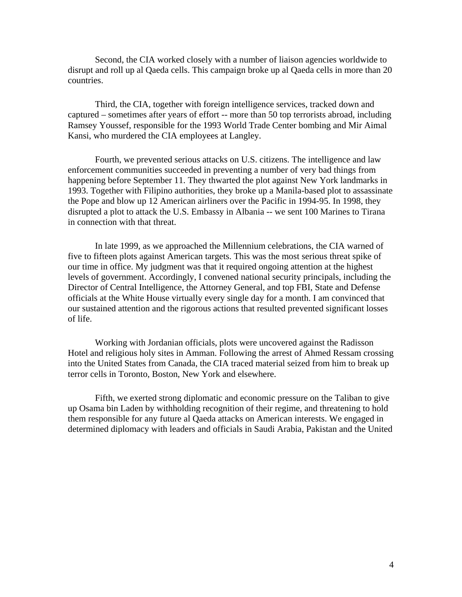Second, the CIA worked closely with a number of liaison agencies worldwide to disrupt and roll up al Qaeda cells. This campaign broke up al Qaeda cells in more than 20 countries.

Third, the CIA, together with foreign intelligence services, tracked down and captured – sometimes after years of effort -- more than 50 top terrorists abroad, including Ramsey Youssef, responsible for the 1993 World Trade Center bombing and Mir Aimal Kansi, who murdered the CIA employees at Langley.

Fourth, we prevented serious attacks on U.S. citizens. The intelligence and law enforcement communities succeeded in preventing a number of very bad things from happening before September 11. They thwarted the plot against New York landmarks in 1993. Together with Filipino authorities, they broke up a Manila-based plot to assassinate the Pope and blow up 12 American airliners over the Pacific in 1994-95. In 1998, they disrupted a plot to attack the U.S. Embassy in Albania -- we sent 100 Marines to Tirana in connection with that threat.

In late 1999, as we approached the Millennium celebrations, the CIA warned of five to fifteen plots against American targets. This was the most serious threat spike of our time in office. My judgment was that it required ongoing attention at the highest levels of government. Accordingly, I convened national security principals, including the Director of Central Intelligence, the Attorney General, and top FBI, State and Defense officials at the White House virtually every single day for a month. I am convinced that our sustained attention and the rigorous actions that resulted prevented significant losses of life.

Working with Jordanian officials, plots were uncovered against the Radisson Hotel and religious holy sites in Amman. Following the arrest of Ahmed Ressam crossing into the United States from Canada, the CIA traced material seized from him to break up terror cells in Toronto, Boston, New York and elsewhere.

Fifth, we exerted strong diplomatic and economic pressure on the Taliban to give up Osama bin Laden by withholding recognition of their regime, and threatening to hold them responsible for any future al Qaeda attacks on American interests. We engaged in determined diplomacy with leaders and officials in Saudi Arabia, Pakistan and the United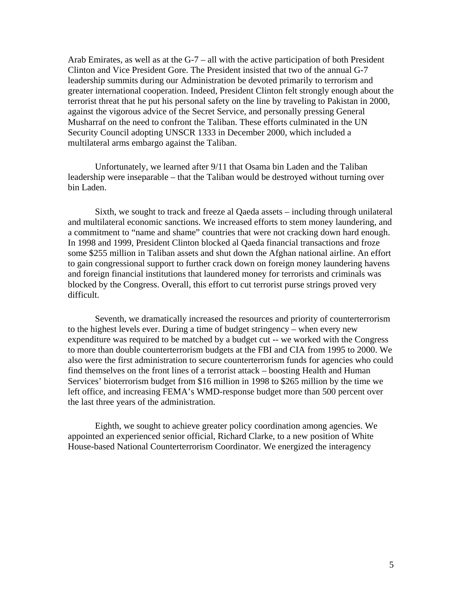Arab Emirates, as well as at the G-7 – all with the active participation of both President Clinton and Vice President Gore. The President insisted that two of the annual G-7 leadership summits during our Administration be devoted primarily to terrorism and greater international cooperation. Indeed, President Clinton felt strongly enough about the terrorist threat that he put his personal safety on the line by traveling to Pakistan in 2000, against the vigorous advice of the Secret Service, and personally pressing General Musharraf on the need to confront the Taliban. These efforts culminated in the UN Security Council adopting UNSCR 1333 in December 2000, which included a multilateral arms embargo against the Taliban.

Unfortunately, we learned after 9/11 that Osama bin Laden and the Taliban leadership were inseparable – that the Taliban would be destroyed without turning over bin Laden.

Sixth, we sought to track and freeze al Qaeda assets – including through unilateral and multilateral economic sanctions. We increased efforts to stem money laundering, and a commitment to "name and shame" countries that were not cracking down hard enough. In 1998 and 1999, President Clinton blocked al Qaeda financial transactions and froze some \$255 million in Taliban assets and shut down the Afghan national airline. An effort to gain congressional support to further crack down on foreign money laundering havens and foreign financial institutions that laundered money for terrorists and criminals was blocked by the Congress. Overall, this effort to cut terrorist purse strings proved very difficult.

Seventh, we dramatically increased the resources and priority of counterterrorism to the highest levels ever. During a time of budget stringency – when every new expenditure was required to be matched by a budget cut -- we worked with the Congress to more than double counterterrorism budgets at the FBI and CIA from 1995 to 2000. We also were the first administration to secure counterterrorism funds for agencies who could find themselves on the front lines of a terrorist attack – boosting Health and Human Services' bioterrorism budget from \$16 million in 1998 to \$265 million by the time we left office, and increasing FEMA's WMD-response budget more than 500 percent over the last three years of the administration.

Eighth, we sought to achieve greater policy coordination among agencies. We appointed an experienced senior official, Richard Clarke, to a new position of White House-based National Counterterrorism Coordinator. We energized the interagency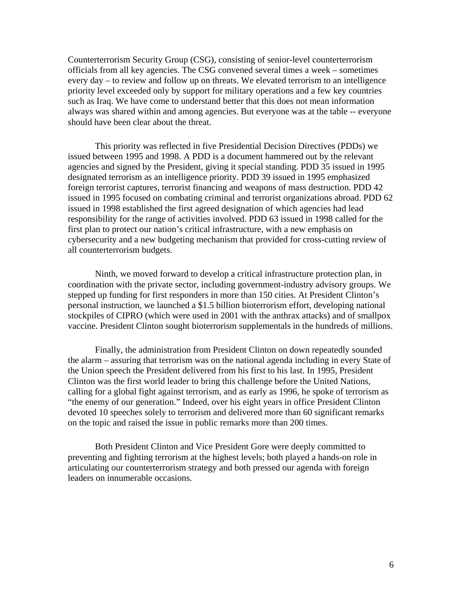Counterterrorism Security Group (CSG), consisting of senior-level counterterrorism officials from all key agencies. The CSG convened several times a week – sometimes every day – to review and follow up on threats. We elevated terrorism to an intelligence priority level exceeded only by support for military operations and a few key countries such as Iraq. We have come to understand better that this does not mean information always was shared within and among agencies. But everyone was at the table -- everyone should have been clear about the threat.

This priority was reflected in five Presidential Decision Directives (PDDs) we issued between 1995 and 1998. A PDD is a document hammered out by the relevant agencies and signed by the President, giving it special standing. PDD 35 issued in 1995 designated terrorism as an intelligence priority. PDD 39 issued in 1995 emphasized foreign terrorist captures, terrorist financing and weapons of mass destruction. PDD 42 issued in 1995 focused on combating criminal and terrorist organizations abroad. PDD 62 issued in 1998 established the first agreed designation of which agencies had lead responsibility for the range of activities involved. PDD 63 issued in 1998 called for the first plan to protect our nation's critical infrastructure, with a new emphasis on cybersecurity and a new budgeting mechanism that provided for cross-cutting review of all counterterrorism budgets.

Ninth, we moved forward to develop a critical infrastructure protection plan, in coordination with the private sector, including government-industry advisory groups. We stepped up funding for first responders in more than 150 cities. At President Clinton's personal instruction, we launched a \$1.5 billion bioterrorism effort, developing national stockpiles of CIPRO (which were used in 2001 with the anthrax attacks) and of smallpox vaccine. President Clinton sought bioterrorism supplementals in the hundreds of millions.

Finally, the administration from President Clinton on down repeatedly sounded the alarm – assuring that terrorism was on the national agenda including in every State of the Union speech the President delivered from his first to his last. In 1995, President Clinton was the first world leader to bring this challenge before the United Nations, calling for a global fight against terrorism, and as early as 1996, he spoke of terrorism as "the enemy of our generation." Indeed, over his eight years in office President Clinton devoted 10 speeches solely to terrorism and delivered more than 60 significant remarks on the topic and raised the issue in public remarks more than 200 times.

Both President Clinton and Vice President Gore were deeply committed to preventing and fighting terrorism at the highest levels; both played a hands-on role in articulating our counterterrorism strategy and both pressed our agenda with foreign leaders on innumerable occasions.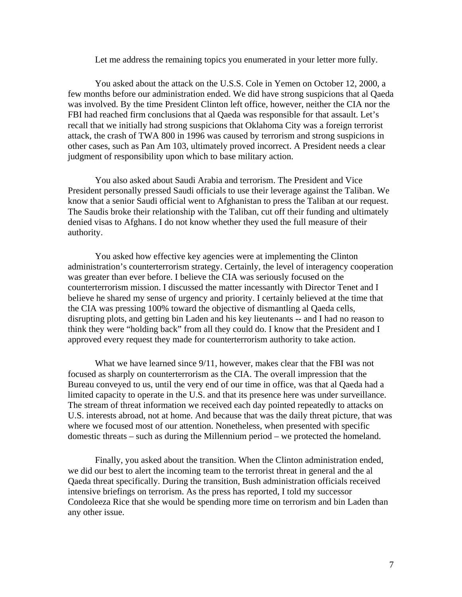Let me address the remaining topics you enumerated in your letter more fully.

You asked about the attack on the U.S.S. Cole in Yemen on October 12, 2000, a few months before our administration ended. We did have strong suspicions that al Qaeda was involved. By the time President Clinton left office, however, neither the CIA nor the FBI had reached firm conclusions that al Qaeda was responsible for that assault. Let's recall that we initially had strong suspicions that Oklahoma City was a foreign terrorist attack, the crash of TWA 800 in 1996 was caused by terrorism and strong suspicions in other cases, such as Pan Am 103, ultimately proved incorrect. A President needs a clear judgment of responsibility upon which to base military action.

You also asked about Saudi Arabia and terrorism. The President and Vice President personally pressed Saudi officials to use their leverage against the Taliban. We know that a senior Saudi official went to Afghanistan to press the Taliban at our request. The Saudis broke their relationship with the Taliban, cut off their funding and ultimately denied visas to Afghans. I do not know whether they used the full measure of their authority.

You asked how effective key agencies were at implementing the Clinton administration's counterterrorism strategy. Certainly, the level of interagency cooperation was greater than ever before. I believe the CIA was seriously focused on the counterterrorism mission. I discussed the matter incessantly with Director Tenet and I believe he shared my sense of urgency and priority. I certainly believed at the time that the CIA was pressing 100% toward the objective of dismantling al Qaeda cells, disrupting plots, and getting bin Laden and his key lieutenants -- and I had no reason to think they were "holding back" from all they could do. I know that the President and I approved every request they made for counterterrorism authority to take action.

What we have learned since 9/11, however, makes clear that the FBI was not focused as sharply on counterterrorism as the CIA. The overall impression that the Bureau conveyed to us, until the very end of our time in office, was that al Qaeda had a limited capacity to operate in the U.S. and that its presence here was under surveillance. The stream of threat information we received each day pointed repeatedly to attacks on U.S. interests abroad, not at home. And because that was the daily threat picture, that was where we focused most of our attention. Nonetheless, when presented with specific domestic threats – such as during the Millennium period – we protected the homeland.

Finally, you asked about the transition. When the Clinton administration ended, we did our best to alert the incoming team to the terrorist threat in general and the al Qaeda threat specifically. During the transition, Bush administration officials received intensive briefings on terrorism. As the press has reported, I told my successor Condoleeza Rice that she would be spending more time on terrorism and bin Laden than any other issue.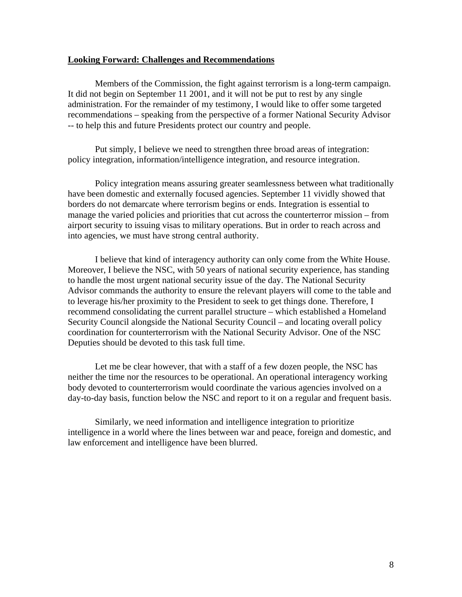## **Looking Forward: Challenges and Recommendations**

Members of the Commission, the fight against terrorism is a long-term campaign. It did not begin on September 11 2001, and it will not be put to rest by any single administration. For the remainder of my testimony, I would like to offer some targeted recommendations – speaking from the perspective of a former National Security Advisor -- to help this and future Presidents protect our country and people.

Put simply, I believe we need to strengthen three broad areas of integration: policy integration, information/intelligence integration, and resource integration.

Policy integration means assuring greater seamlessness between what traditionally have been domestic and externally focused agencies. September 11 vividly showed that borders do not demarcate where terrorism begins or ends. Integration is essential to manage the varied policies and priorities that cut across the counterterror mission – from airport security to issuing visas to military operations. But in order to reach across and into agencies, we must have strong central authority.

I believe that kind of interagency authority can only come from the White House. Moreover, I believe the NSC, with 50 years of national security experience, has standing to handle the most urgent national security issue of the day. The National Security Advisor commands the authority to ensure the relevant players will come to the table and to leverage his/her proximity to the President to seek to get things done. Therefore, I recommend consolidating the current parallel structure – which established a Homeland Security Council alongside the National Security Council – and locating overall policy coordination for counterterrorism with the National Security Advisor. One of the NSC Deputies should be devoted to this task full time.

Let me be clear however, that with a staff of a few dozen people, the NSC has neither the time nor the resources to be operational. An operational interagency working body devoted to counterterrorism would coordinate the various agencies involved on a day-to-day basis, function below the NSC and report to it on a regular and frequent basis.

Similarly, we need information and intelligence integration to prioritize intelligence in a world where the lines between war and peace, foreign and domestic, and law enforcement and intelligence have been blurred.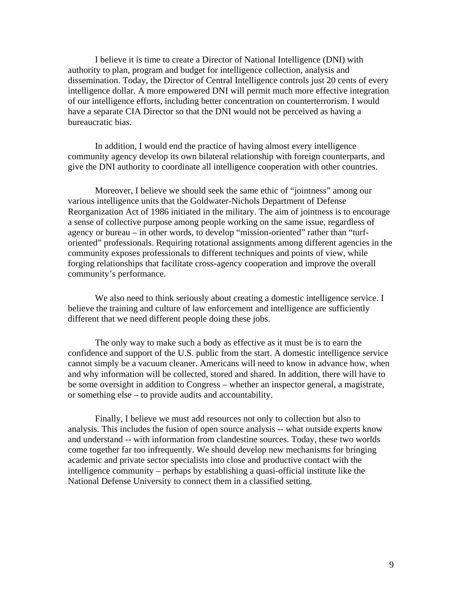I believe it is time to create a Director of National Intelligence (DNI) with authority to plan, program and budget for intelligence collection, analysis and dissemination. Today, the Director of Central Intelligence controls just 20 cents of every intelligence dollar. A more empowered DNI will permit much more effective integration of our intelligence efforts, including better concentration on counterterrorism. I would have a separate CIA Director so that the DNI would not be perceived as having a bureaucratic bias.

In addition, I would end the practice of having almost every intelligence community agency develop its own bilateral relationship with foreign counterparts, and give the DNI authority to coordinate all intelligence cooperation with other countries.

Moreover, I believe we should seek the same ethic of "jointness" among our various intelligence units that the Goldwater-Nichols Department of Defense Reorganization Act of 1986 initiated in the military. The aim of jointness is to encourage a sense of collective purpose among people working on the same issue, regardless of agency or bureau – in other words, to develop "mission-oriented" rather than "turforiented" professionals. Requiring rotational assignments among different agencies in the community exposes professionals to different techniques and points of view, while forging relationships that facilitate cross-agency cooperation and improve the overall community's performance.

We also need to think seriously about creating a domestic intelligence service. I believe the training and culture of law enforcement and intelligence are sufficiently different that we need different people doing these jobs.

The only way to make such a body as effective as it must be is to earn the confidence and support of the U.S. public from the start. A domestic intelligence service cannot simply be a vacuum cleaner. Americans will need to know in advance how, when and why information will be collected, stored and shared. In addition, there will have to be some oversight in addition to Congress – whether an inspector general, a magistrate, or something else – to provide audits and accountability.

Finally, I believe we must add resources not only to collection but also to analysis. This includes the fusion of open source analysis -- what outside experts know and understand -- with information from clandestine sources. Today, these two worlds come together far too infrequently. We should develop new mechanisms for bringing academic and private sector specialists into close and productive contact with the intelligence community – perhaps by establishing a quasi-official institute like the National Defense University to connect them in a classified setting.